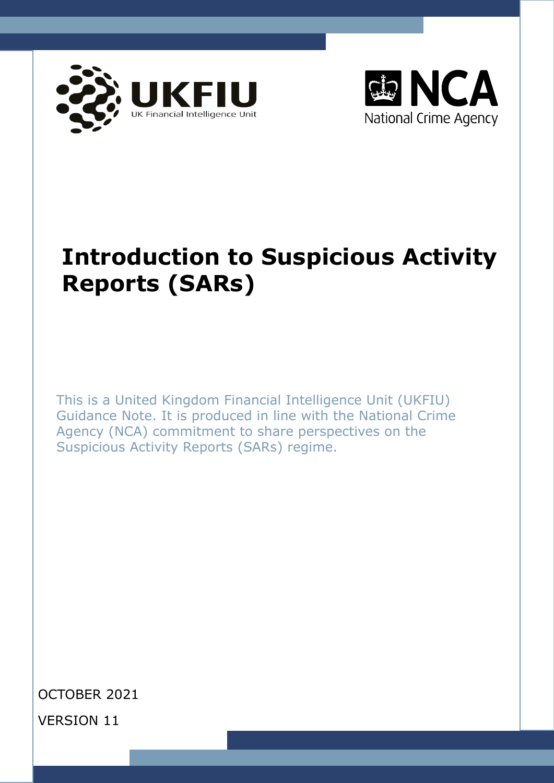



# **Introduction to Suspicious Activity Reports (SARs)**

This is a United Kingdom Financial Intelligence Unit (UKFIU) Guidance Note. It is produced in line with the National Crime Agency (NCA) commitment to share perspectives on the Suspicious Activity Reports (SARs) regime.

OCTOBER 2021 VERSION 11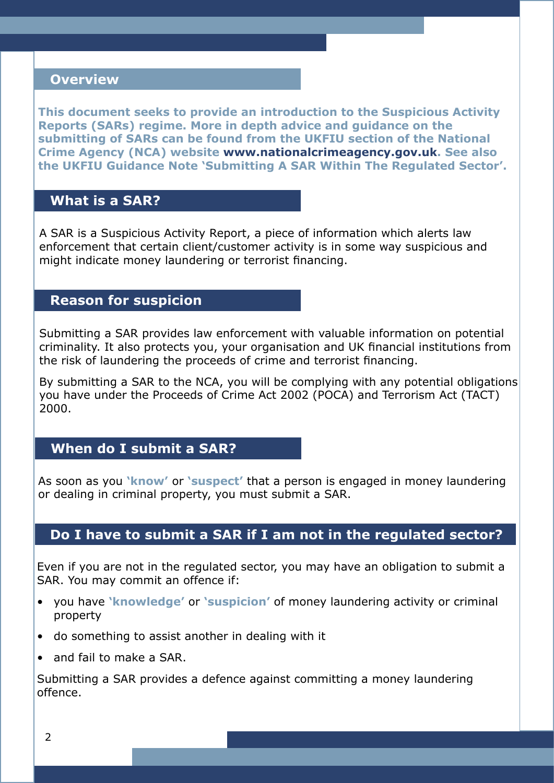#### **Overview**

**This document seeks to provide an introduction to the Suspicious Activity Reports (SARs) regime. More in depth advice and guidance on the submitting of SARs can be found from the UKFIU section of the National Crime Agency (NCA) website [www.nationalcrimeagency.gov.uk.](http://www.nationalcrimeagency.gov.uk) See also the UKFIU Guidance Note 'Submitting A SAR Within The Regulated Sector'.**

### **What is a SAR?**

A SAR is a Suspicious Activity Report, a piece of information which alerts law enforcement that certain client/customer activity is in some way suspicious and might indicate money laundering or terrorist financing.

### **Reason for suspicion**

Submitting a SAR provides law enforcement with valuable information on potential criminality. It also protects you, your organisation and UK financial institutions from the risk of laundering the proceeds of crime and terrorist financing.

By submitting a SAR to the NCA, you will be complying with any potential obligations you have under the Proceeds of Crime Act 2002 (POCA) and Terrorism Act (TACT) 2000.

## **When do I submit a SAR?**

As soon as you **'know'** or **'suspect'** that a person is engaged in money laundering or dealing in criminal property, you must submit a SAR.

#### **Do I have to submit a SAR if I am not in the regulated sector?**

Even if you are not in the regulated sector, you may have an obligation to submit a SAR. You may commit an offence if:

- you have **'knowledge'** or **'suspicion'** of money laundering activity or criminal property
- do something to assist another in dealing with it
- and fail to make a SAR.

Submitting a SAR provides a defence against committing a money laundering offence.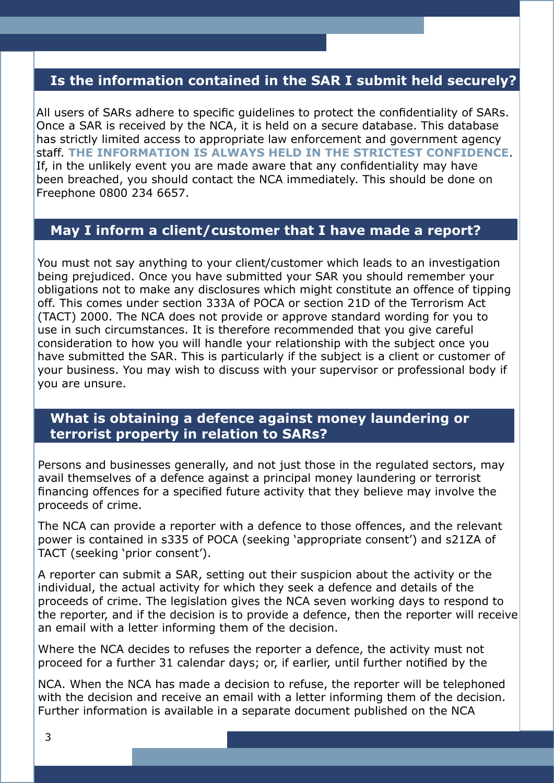## **Is the information contained in the SAR I submit held securely?**

All users of SARs adhere to specific guidelines to protect the confidentiality of SARs. Once a SAR is received by the NCA, it is held on a secure database. This database has strictly limited access to appropriate law enforcement and government agency staff. **THE INFORMATION IS ALWAYS HELD IN THE STRICTEST CONFIDENCE**. If, in the unlikely event you are made aware that any confidentiality may have been breached, you should contact the NCA immediately. This should be done on Freephone 0800 234 6657.

#### **May I inform a client/customer that I have made a report?**

You must not say anything to your client/customer which leads to an investigation being prejudiced. Once you have submitted your SAR you should remember your obligations not to make any disclosures which might constitute an offence of tipping off. This comes under section 333A of POCA or section 21D of the Terrorism Act (TACT) 2000. The NCA does not provide or approve standard wording for you to use in such circumstances. It is therefore recommended that you give careful consideration to how you will handle your relationship with the subject once you have submitted the SAR. This is particularly if the subject is a client or customer of your business. You may wish to discuss with your supervisor or professional body if you are unsure.

#### **What is obtaining a defence against money laundering or terrorist property in relation to SARs?**

Persons and businesses generally, and not just those in the regulated sectors, may avail themselves of a defence against a principal money laundering or terrorist financing offences for a specified future activity that they believe may involve the proceeds of crime.

The NCA can provide a reporter with a defence to those offences, and the relevant power is contained in s335 of POCA (seeking 'appropriate consent') and s21ZA of TACT (seeking 'prior consent').

A reporter can submit a SAR, setting out their suspicion about the activity or the individual, the actual activity for which they seek a defence and details of the proceeds of crime. The legislation gives the NCA seven working days to respond to the reporter, and if the decision is to provide a defence, then the reporter will receive an email with a letter informing them of the decision.

Where the NCA decides to refuses the reporter a defence, the activity must not proceed for a further 31 calendar days; or, if earlier, until further notified by the

NCA. When the NCA has made a decision to refuse, the reporter will be telephoned with the decision and receive an email with a letter informing them of the decision. Further information is available in a separate document published on the NCA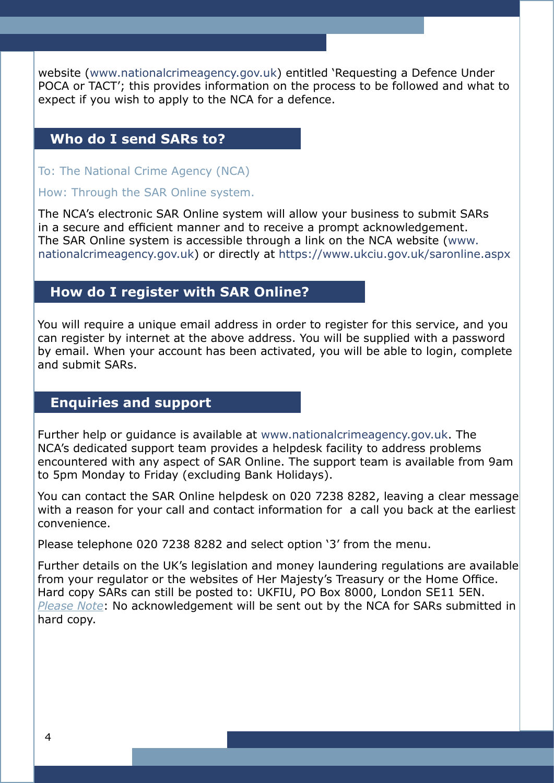website ([www.nationalcrimeagency.gov.uk\)](http://www.nationalcrimeagency.gov.uk) entitled 'Requesting a Defence Under POCA or TACT'; this provides information on the process to be followed and what to expect if you wish to apply to the NCA for a defence.

#### **Who do I send SARs to?**

To: The National Crime Agency (NCA)

#### How: Through the SAR Online system.

The NCA's electronic SAR Online system will allow your business to submit SARs in a secure and efficient manner and to receive a prompt acknowledgement. The SAR Online system is accessible through a link on the NCA website [\(www.](http://www.nationalcrimeagency.gov.uk) [nationalcrimeagency.gov.uk\)](http://www.nationalcrimeagency.gov.uk) or directly at https://[www.ukciu.gov.uk/saronline.aspx](http://www.ukciu.gov.uk/saronline.aspx)

#### **How do I register with SAR Online?**

You will require a unique email address in order to register for this service, and you can register by internet at the above address. You will be supplied with a password by email. When your account has been activated, you will be able to login, complete and submit SARs.

## **Enquiries and support**

Further help or guidance is available at [www.nationalcrimeagency.gov.uk](http://www.nationalcrimeagency.gov.uk). The NCA's dedicated support team provides a helpdesk facility to address problems encountered with any aspect of SAR Online. The support team is available from 9am to 5pm Monday to Friday (excluding Bank Holidays).

You can contact the SAR Online helpdesk on 020 7238 8282, leaving a clear message with a reason for your call and contact information for a call you back at the earliest convenience.

Please telephone 020 7238 8282 and select option '3' from the menu.

Further details on the UK's legislation and money laundering regulations are available from your regulator or the websites of Her Majesty's Treasury or the Home Office. Hard copy SARs can still be posted to: UKFIU, PO Box 8000, London SE11 5EN. *Please Note*: No acknowledgement will be sent out by the NCA for SARs submitted in hard copy.